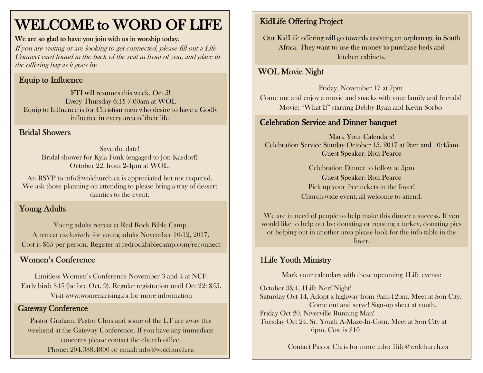# WELCOME to WORD OF LIFE

#### We are so glad to have you join with us in worship today.

If you are visiting or are looking to get connected, please fill out a Life Connect card found in the back of the seat in front of you, and place in the offering bag as it goes by.

### Equip to Influence

ETI will resumes this week, Oct 5! Every Thursday 6:15-7:00am at WOL Equip to Influence is for Christian men who desire to have a Godly influence in every area of their life.

#### Bridal Showers

Save the date! Bridal shower for Kyla Funk (engaged to Jon Kasdorf) October 22, from 2-4pm at WOL.

An RSVP to info@wolchurch.ca is appreciated but not required. We ask those planning on attending to please bring a tray of dessert dainties to the event.

### Young Adults

Young adults retreat at Red Rock Bible Camp. A retreat exclusively for young adults November 10-12, 2017. Cost is \$65 per person. Register at redrockbiblecamp.com/reconnect

#### Women's Conference

Limitless Women's Conference November 3 and 4 at NCF. Early bird: \$45 (before Oct. 9). Regular registration until Oct 22: \$55. Visit www.womenarising.ca for more information

### Gateway Conference

Pastor Graham, Pastor Chris and some of the LT are away this weekend at the Gateway Conference. If you have any immediate concerns please contact the church office. Phone: 204.388.4800 or email: info@wolchurch.ca

# KidLife Offering Project

Our KidLife offering will go towards assisting an orphanage in South Africa. They want to use the money to purchase beds and kitchen cabinets.

#### $\overline{\phantom{a}}$ WOL Movie Night

Friday, November 17 at 7pm Come out and enjoy a movie and snacks with your family and friends! Movie: "What If" starring Debby Ryan and Kevin Sorbo

### Celebration Service and Dinner banquet

Mark Your Calendars! Celebration Service Sunday October 15, 2017 at 9am and 10:45am Guest Speaker: Ron Pearce

> Celebration Dinner to follow at 5pm Guest Speaker: Ron Pearce Pick up your free tickets in the foyer! Church-wide event, all welcome to attend.

We are in need of people to help make this dinner a success. If you would like to help out by: donating or roasting a turkey, donating pies or helping out in another area please look for the info table in the foyer.

## 1Life Youth Ministry

Mark your calendars with these upcoming 1Life events:

October 3&4, 1Life Nerf Night! Saturday Oct 14, Adopt a highway from 9am-12pm. Meet at Son City. Come out and serve! Sign-up sheet at youth. Friday Oct 20, Niverville Running Man! Tuesday Oct 24, Sr. Youth A-Maze-In-Corn. Meet at Son City at 6pm. Cost is \$10

Contact Pastor Chris for more info: [1life@wolchurch.ca](mailto:1life@wolchurch.ca)